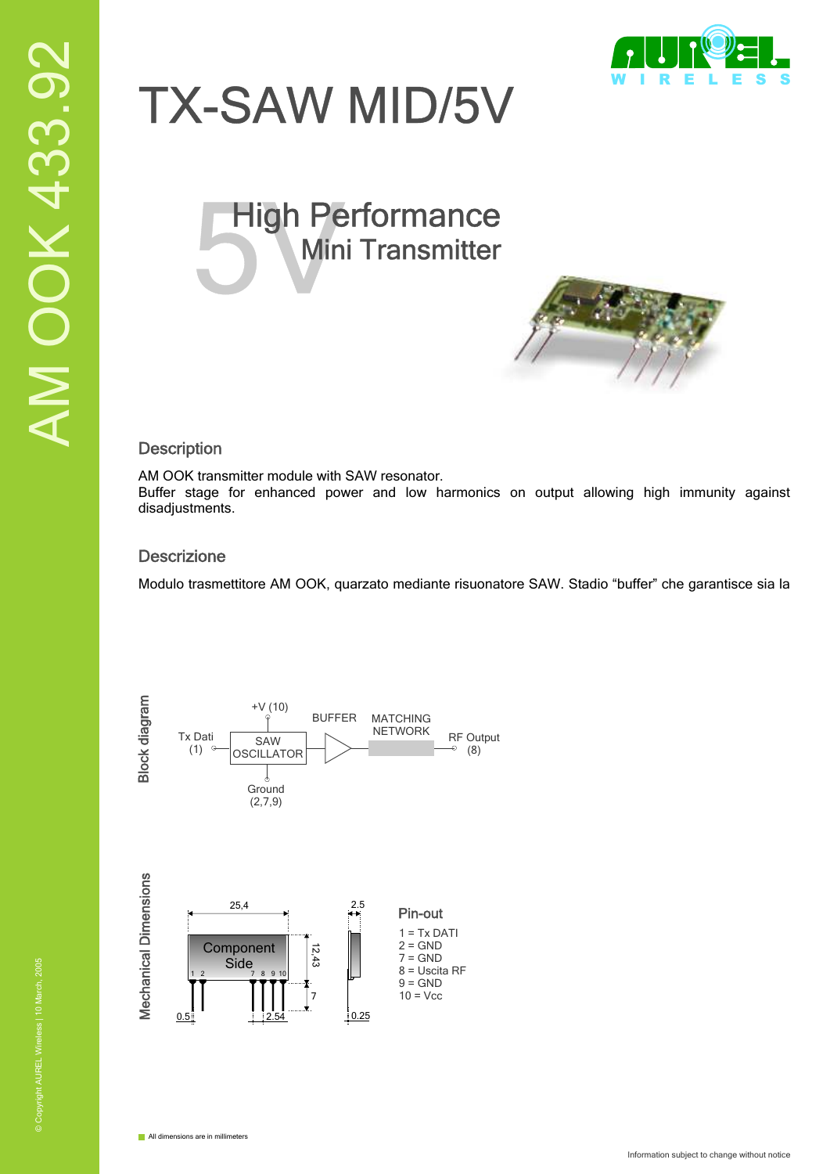

# TX-SAW MID/5V

# High Performance<br>Mini Transmitter Mini Transmitter



### **Description**

AM OOK transmitter module with SAW resonator.

Buffer stage for enhanced power and low harmonics on output allowing high immunity against disadjustments.

## **Descrizione**

Modulo trasmettitore AM OOK, quarzato mediante risuonatore SAW. Stadio "buffer" che garantisce sia la